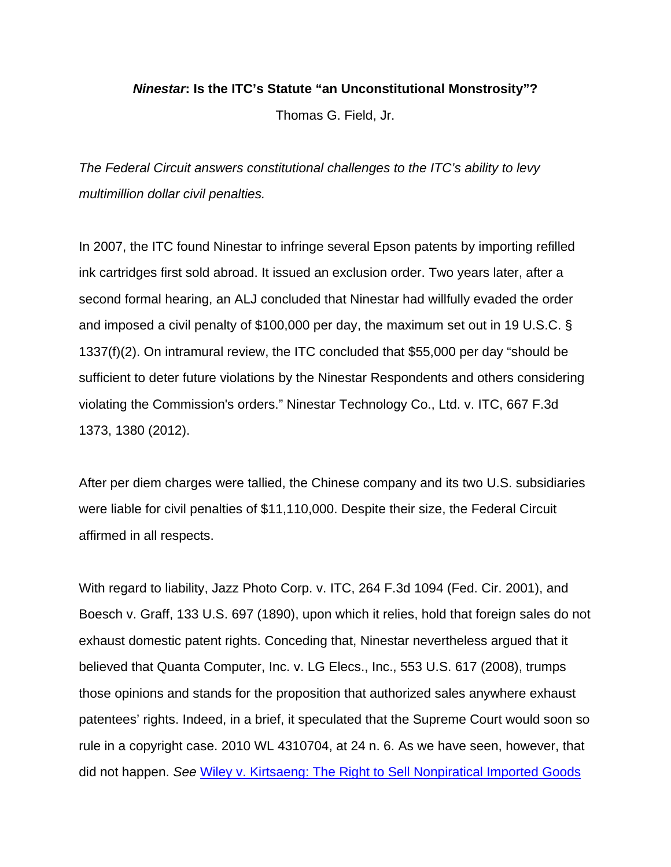## *Ninestar***: Is the ITC's Statute "an Unconstitutional Monstrosity"?**

Thomas G. Field, Jr.

*The Federal Circuit answers constitutional challenges to the ITC's ability to levy multimillion dollar civil penalties.* 

In 2007, the ITC found Ninestar to infringe several Epson patents by importing refilled ink cartridges first sold abroad. It issued an exclusion order. Two years later, after a second formal hearing, an ALJ concluded that Ninestar had willfully evaded the order and imposed a civil penalty of \$100,000 per day, the maximum set out in 19 U.S.C. § 1337(f)(2). On intramural review, the ITC concluded that \$55,000 per day "should be sufficient to deter future violations by the Ninestar Respondents and others considering violating the Commission's orders." Ninestar Technology Co., Ltd. v. ITC, 667 F.3d 1373, 1380 (2012).

After per diem charges were tallied, the Chinese company and its two U.S. subsidiaries were liable for civil penalties of \$11,110,000. Despite their size, the Federal Circuit affirmed in all respects.

With regard to liability, Jazz Photo Corp. v. ITC, 264 F.3d 1094 (Fed. Cir. 2001), and Boesch v. Graff, 133 U.S. 697 (1890), upon which it relies, hold that foreign sales do not exhaust domestic patent rights. Conceding that, Ninestar nevertheless argued that it believed that Quanta Computer, Inc. v. LG Elecs., Inc., 553 U.S. 617 (2008), trumps those opinions and stands for the proposition that authorized sales anywhere exhaust patentees' rights. Indeed, in a brief, it speculated that the Supreme Court would soon so rule in a copyright case. 2010 WL 4310704, at 24 n. 6. As we have seen, however, that did not happen. *See* Wiley v. Kirtsaeng: The Right to Sell Nonpiratical Imported Goods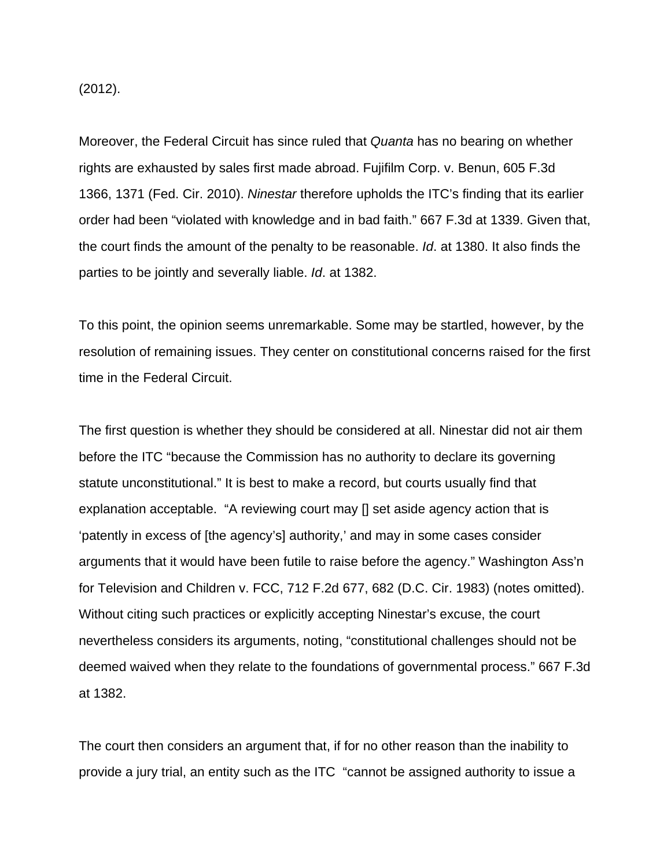(2012).

Moreover, the Federal Circuit has since ruled that *Quanta* has no bearing on whether rights are exhausted by sales first made abroad. Fujifilm Corp. v. Benun, 605 F.3d 1366, 1371 (Fed. Cir. 2010). *Ninestar* therefore upholds the ITC's finding that its earlier order had been "violated with knowledge and in bad faith." 667 F.3d at 1339. Given that, the court finds the amount of the penalty to be reasonable. *Id*. at 1380. It also finds the parties to be jointly and severally liable. *Id*. at 1382.

To this point, the opinion seems unremarkable. Some may be startled, however, by the resolution of remaining issues. They center on constitutional concerns raised for the first time in the Federal Circuit.

The first question is whether they should be considered at all. Ninestar did not air them before the ITC "because the Commission has no authority to declare its governing statute unconstitutional." It is best to make a record, but courts usually find that explanation acceptable. "A reviewing court may [] set aside agency action that is 'patently in excess of [the agency's] authority,' and may in some cases consider arguments that it would have been futile to raise before the agency." Washington Ass'n for Television and Children v. FCC, 712 F.2d 677, 682 (D.C. Cir. 1983) (notes omitted). Without citing such practices or explicitly accepting Ninestar's excuse, the court nevertheless considers its arguments, noting, "constitutional challenges should not be deemed waived when they relate to the foundations of governmental process." 667 F.3d at 1382.

The court then considers an argument that, if for no other reason than the inability to provide a jury trial, an entity such as the ITC "cannot be assigned authority to issue a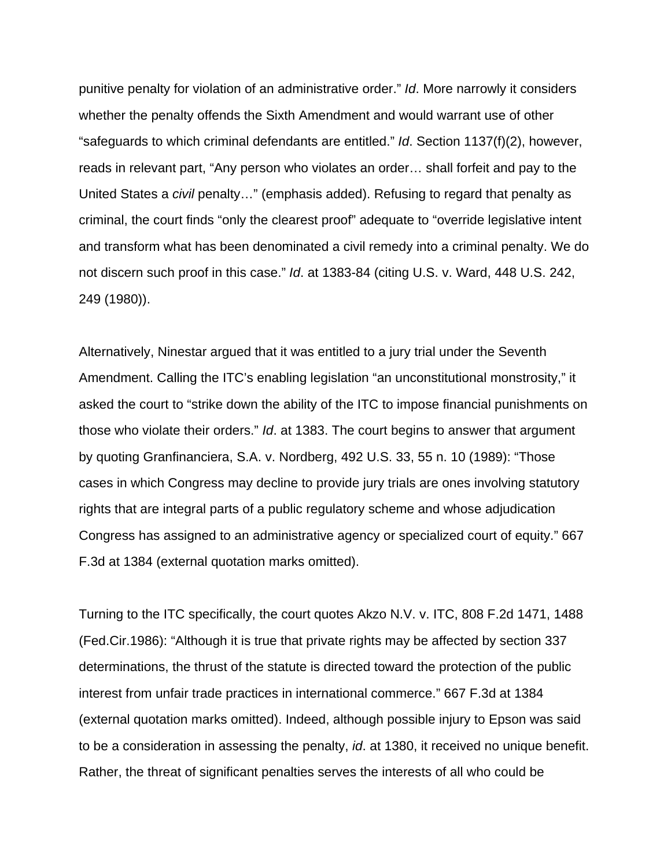punitive penalty for violation of an administrative order." *Id*. More narrowly it considers whether the penalty offends the Sixth Amendment and would warrant use of other "safeguards to which criminal defendants are entitled." *Id*. Section 1137(f)(2), however, reads in relevant part, "Any person who violates an order… shall forfeit and pay to the United States a *civil* penalty…" (emphasis added). Refusing to regard that penalty as criminal, the court finds "only the clearest proof" adequate to "override legislative intent and transform what has been denominated a civil remedy into a criminal penalty. We do not discern such proof in this case." *Id*. at 1383-84 (citing U.S. v. Ward, 448 U.S. 242, 249 (1980)).

Alternatively, Ninestar argued that it was entitled to a jury trial under the Seventh Amendment. Calling the ITC's enabling legislation "an unconstitutional monstrosity," it asked the court to "strike down the ability of the ITC to impose financial punishments on those who violate their orders." *Id*. at 1383. The court begins to answer that argument by quoting Granfinanciera, S.A. v. Nordberg, 492 U.S. 33, 55 n. 10 (1989): "Those cases in which Congress may decline to provide jury trials are ones involving statutory rights that are integral parts of a public regulatory scheme and whose adjudication Congress has assigned to an administrative agency or specialized court of equity." 667 F.3d at 1384 (external quotation marks omitted).

Turning to the ITC specifically, the court quotes Akzo N.V. v. ITC, 808 F.2d 1471, 1488 (Fed.Cir.1986): "Although it is true that private rights may be affected by section 337 determinations, the thrust of the statute is directed toward the protection of the public interest from unfair trade practices in international commerce." 667 F.3d at 1384 (external quotation marks omitted). Indeed, although possible injury to Epson was said to be a consideration in assessing the penalty, *id*. at 1380, it received no unique benefit. Rather, the threat of significant penalties serves the interests of all who could be